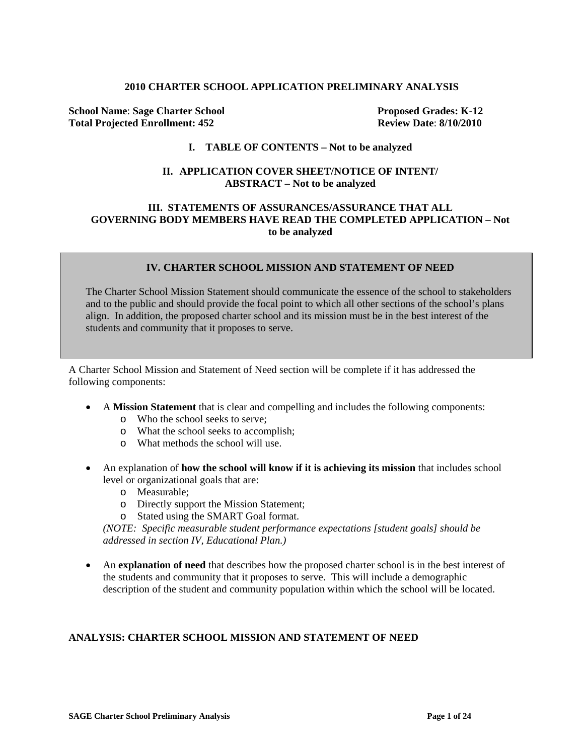#### **2010 CHARTER SCHOOL APPLICATION PRELIMINARY ANALYSIS**

**School Name: Sage Charter School Proposed Grades: K-12 Total Projected Enrollment: 452 Review Date**: **8/10/2010**

#### **I. TABLE OF CONTENTS – Not to be analyzed**

#### **II. APPLICATION COVER SHEET/NOTICE OF INTENT/ ABSTRACT – Not to be analyzed**

### **III. STATEMENTS OF ASSURANCES/ASSURANCE THAT ALL GOVERNING BODY MEMBERS HAVE READ THE COMPLETED APPLICATION – Not to be analyzed**

#### **IV. CHARTER SCHOOL MISSION AND STATEMENT OF NEED**

The Charter School Mission Statement should communicate the essence of the school to stakeholders and to the public and should provide the focal point to which all other sections of the school's plans align. In addition, the proposed charter school and its mission must be in the best interest of the students and community that it proposes to serve.

A Charter School Mission and Statement of Need section will be complete if it has addressed the following components:

- A **Mission Statement** that is clear and compelling and includes the following components:
	- o Who the school seeks to serve;
	- o What the school seeks to accomplish;
	- o What methods the school will use.
- An explanation of **how the school will know if it is achieving its mission** that includes school level or organizational goals that are:
	- o Measurable;
	- o Directly support the Mission Statement;
	- o Stated using the SMART Goal format.

*(NOTE: Specific measurable student performance expectations [student goals] should be addressed in section IV, Educational Plan.)*

• An **explanation of need** that describes how the proposed charter school is in the best interest of the students and community that it proposes to serve. This will include a demographic description of the student and community population within which the school will be located.

#### **ANALYSIS: CHARTER SCHOOL MISSION AND STATEMENT OF NEED**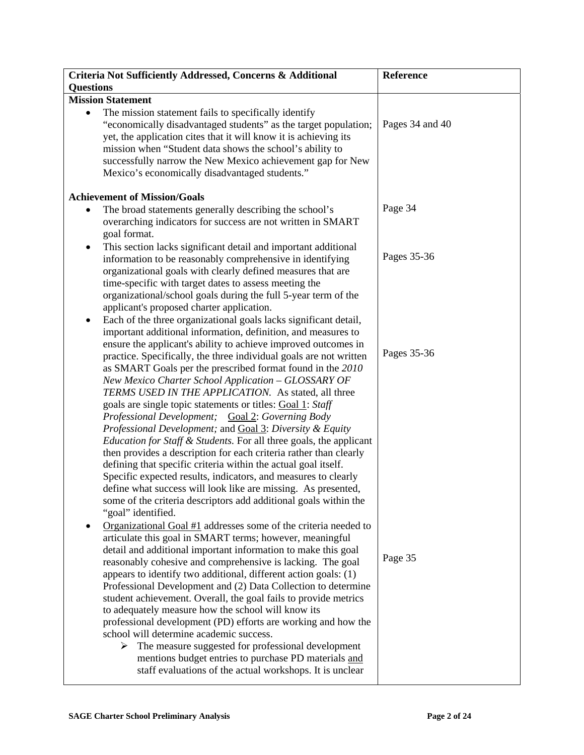| Criteria Not Sufficiently Addressed, Concerns & Additional                                                                                                                                                                                                                                                                                                                                                                                                                                                                                                                                                                                                                                                                                                                                                                                                                                                                                                                                                                                                                                                                                                                                                                                                                                                                                                                                 | Reference       |  |  |
|--------------------------------------------------------------------------------------------------------------------------------------------------------------------------------------------------------------------------------------------------------------------------------------------------------------------------------------------------------------------------------------------------------------------------------------------------------------------------------------------------------------------------------------------------------------------------------------------------------------------------------------------------------------------------------------------------------------------------------------------------------------------------------------------------------------------------------------------------------------------------------------------------------------------------------------------------------------------------------------------------------------------------------------------------------------------------------------------------------------------------------------------------------------------------------------------------------------------------------------------------------------------------------------------------------------------------------------------------------------------------------------------|-----------------|--|--|
| <b>Questions</b>                                                                                                                                                                                                                                                                                                                                                                                                                                                                                                                                                                                                                                                                                                                                                                                                                                                                                                                                                                                                                                                                                                                                                                                                                                                                                                                                                                           |                 |  |  |
| <b>Mission Statement</b><br>The mission statement fails to specifically identify<br>$\bullet$<br>"economically disadvantaged students" as the target population;<br>yet, the application cites that it will know it is achieving its<br>mission when "Student data shows the school's ability to<br>successfully narrow the New Mexico achievement gap for New<br>Mexico's economically disadvantaged students."                                                                                                                                                                                                                                                                                                                                                                                                                                                                                                                                                                                                                                                                                                                                                                                                                                                                                                                                                                           | Pages 34 and 40 |  |  |
| <b>Achievement of Mission/Goals</b>                                                                                                                                                                                                                                                                                                                                                                                                                                                                                                                                                                                                                                                                                                                                                                                                                                                                                                                                                                                                                                                                                                                                                                                                                                                                                                                                                        |                 |  |  |
| The broad statements generally describing the school's<br>overarching indicators for success are not written in SMART<br>goal format.                                                                                                                                                                                                                                                                                                                                                                                                                                                                                                                                                                                                                                                                                                                                                                                                                                                                                                                                                                                                                                                                                                                                                                                                                                                      | Page 34         |  |  |
| This section lacks significant detail and important additional<br>$\bullet$<br>information to be reasonably comprehensive in identifying<br>organizational goals with clearly defined measures that are<br>time-specific with target dates to assess meeting the                                                                                                                                                                                                                                                                                                                                                                                                                                                                                                                                                                                                                                                                                                                                                                                                                                                                                                                                                                                                                                                                                                                           | Pages 35-36     |  |  |
| organizational/school goals during the full 5-year term of the<br>applicant's proposed charter application.<br>Each of the three organizational goals lacks significant detail,<br>important additional information, definition, and measures to<br>ensure the applicant's ability to achieve improved outcomes in<br>practice. Specifically, the three individual goals are not written<br>as SMART Goals per the prescribed format found in the 2010<br>New Mexico Charter School Application - GLOSSARY OF<br>TERMS USED IN THE APPLICATION. As stated, all three<br>goals are single topic statements or titles: Goal 1: Staff                                                                                                                                                                                                                                                                                                                                                                                                                                                                                                                                                                                                                                                                                                                                                         | Pages 35-36     |  |  |
| Professional Development; Goal 2: Governing Body<br>Professional Development; and Goal 3: Diversity & Equity<br><i>Education for Staff &amp; Students</i> . For all three goals, the applicant<br>then provides a description for each criteria rather than clearly<br>defining that specific criteria within the actual goal itself.<br>Specific expected results, indicators, and measures to clearly<br>define what success will look like are missing. As presented,<br>some of the criteria descriptors add additional goals within the<br>"goal" identified.<br>Organizational Goal $#1$ addresses some of the criteria needed to<br>articulate this goal in SMART terms; however, meaningful<br>detail and additional important information to make this goal<br>reasonably cohesive and comprehensive is lacking. The goal<br>appears to identify two additional, different action goals: (1)<br>Professional Development and (2) Data Collection to determine<br>student achievement. Overall, the goal fails to provide metrics<br>to adequately measure how the school will know its<br>professional development (PD) efforts are working and how the<br>school will determine academic success.<br>The measure suggested for professional development<br>➤<br>mentions budget entries to purchase PD materials and<br>staff evaluations of the actual workshops. It is unclear | Page 35         |  |  |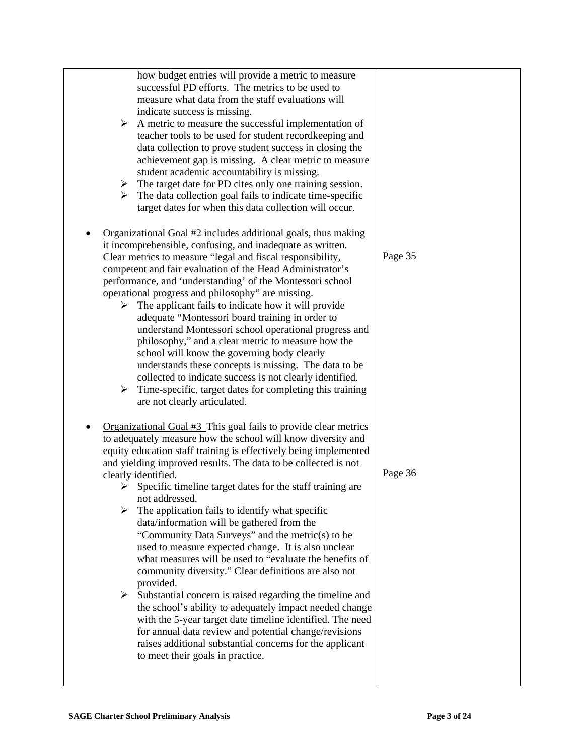| how budget entries will provide a metric to measure                        |         |
|----------------------------------------------------------------------------|---------|
| successful PD efforts. The metrics to be used to                           |         |
| measure what data from the staff evaluations will                          |         |
| indicate success is missing.                                               |         |
| $\triangleright$ A metric to measure the successful implementation of      |         |
| teacher tools to be used for student recordkeeping and                     |         |
|                                                                            |         |
| data collection to prove student success in closing the                    |         |
| achievement gap is missing. A clear metric to measure                      |         |
| student academic accountability is missing.                                |         |
| $\triangleright$ The target date for PD cites only one training session.   |         |
| The data collection goal fails to indicate time-specific<br>➤              |         |
| target dates for when this data collection will occur.                     |         |
|                                                                            |         |
|                                                                            |         |
| Organizational Goal $#2$ includes additional goals, thus making            |         |
| it incomprehensible, confusing, and inadequate as written.                 |         |
| Clear metrics to measure "legal and fiscal responsibility,                 | Page 35 |
| competent and fair evaluation of the Head Administrator's                  |         |
| performance, and 'understanding' of the Montessori school                  |         |
| operational progress and philosophy" are missing.                          |         |
| $\triangleright$ The applicant fails to indicate how it will provide       |         |
|                                                                            |         |
| adequate "Montessori board training in order to                            |         |
| understand Montessori school operational progress and                      |         |
| philosophy," and a clear metric to measure how the                         |         |
| school will know the governing body clearly                                |         |
| understands these concepts is missing. The data to be                      |         |
| collected to indicate success is not clearly identified.                   |         |
| Time-specific, target dates for completing this training<br>➤              |         |
| are not clearly articulated.                                               |         |
|                                                                            |         |
|                                                                            |         |
| Organizational Goal #3_This goal fails to provide clear metrics            |         |
| to adequately measure how the school will know diversity and               |         |
| equity education staff training is effectively being implemented           |         |
| and yielding improved results. The data to be collected is not             |         |
| clearly identified.                                                        | Page 36 |
| $\triangleright$ Specific timeline target dates for the staff training are |         |
|                                                                            |         |
| not addressed.                                                             |         |
| The application fails to identify what specific<br>➤                       |         |
| data/information will be gathered from the                                 |         |
| "Community Data Surveys" and the metric(s) to be                           |         |
| used to measure expected change. It is also unclear                        |         |
| what measures will be used to "evaluate the benefits of                    |         |
| community diversity." Clear definitions are also not                       |         |
| provided.                                                                  |         |
|                                                                            |         |
| Substantial concern is raised regarding the timeline and<br>➤              |         |
| the school's ability to adequately impact needed change                    |         |
| with the 5-year target date timeline identified. The need                  |         |
| for annual data review and potential change/revisions                      |         |
| raises additional substantial concerns for the applicant                   |         |
| to meet their goals in practice.                                           |         |
|                                                                            |         |
|                                                                            |         |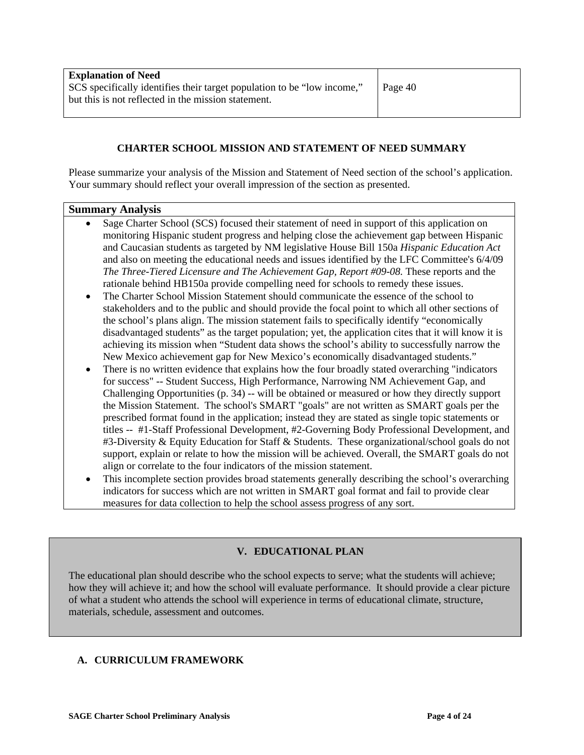| <b>Explanation of Need</b>                                              |                 |
|-------------------------------------------------------------------------|-----------------|
| SCS specifically identifies their target population to be "low income," | $\vert$ Page 40 |
| but this is not reflected in the mission statement.                     |                 |
|                                                                         |                 |

#### **CHARTER SCHOOL MISSION AND STATEMENT OF NEED SUMMARY**

Please summarize your analysis of the Mission and Statement of Need section of the school's application. Your summary should reflect your overall impression of the section as presented.

#### **Summary Analysis**

- Sage Charter School (SCS) focused their statement of need in support of this application on monitoring Hispanic student progress and helping close the achievement gap between Hispanic and Caucasian students as targeted by NM legislative House Bill 150a *Hispanic Education Act* and also on meeting the educational needs and issues identified by the LFC Committee's 6/4/09 *The Three-Tiered Licensure and The Achievement Gap, Report #09-08.* These reports and the rationale behind HB150a provide compelling need for schools to remedy these issues.
- The Charter School Mission Statement should communicate the essence of the school to stakeholders and to the public and should provide the focal point to which all other sections of the school's plans align. The mission statement fails to specifically identify "economically disadvantaged students" as the target population; yet, the application cites that it will know it is achieving its mission when "Student data shows the school's ability to successfully narrow the New Mexico achievement gap for New Mexico's economically disadvantaged students."
- There is no written evidence that explains how the four broadly stated overarching "indicators for success" -- Student Success, High Performance, Narrowing NM Achievement Gap, and Challenging Opportunities (p. 34) -- will be obtained or measured or how they directly support the Mission Statement. The school's SMART "goals" are not written as SMART goals per the prescribed format found in the application; instead they are stated as single topic statements or titles -- #1-Staff Professional Development, #2-Governing Body Professional Development, and #3-Diversity & Equity Education for Staff & Students. These organizational/school goals do not support, explain or relate to how the mission will be achieved. Overall, the SMART goals do not align or correlate to the four indicators of the mission statement.
- This incomplete section provides broad statements generally describing the school's overarching indicators for success which are not written in SMART goal format and fail to provide clear measures for data collection to help the school assess progress of any sort.

## **V. EDUCATIONAL PLAN**

The educational plan should describe who the school expects to serve; what the students will achieve; how they will achieve it; and how the school will evaluate performance. It should provide a clear picture of what a student who attends the school will experience in terms of educational climate, structure, materials, schedule, assessment and outcomes.

### **A. CURRICULUM FRAMEWORK**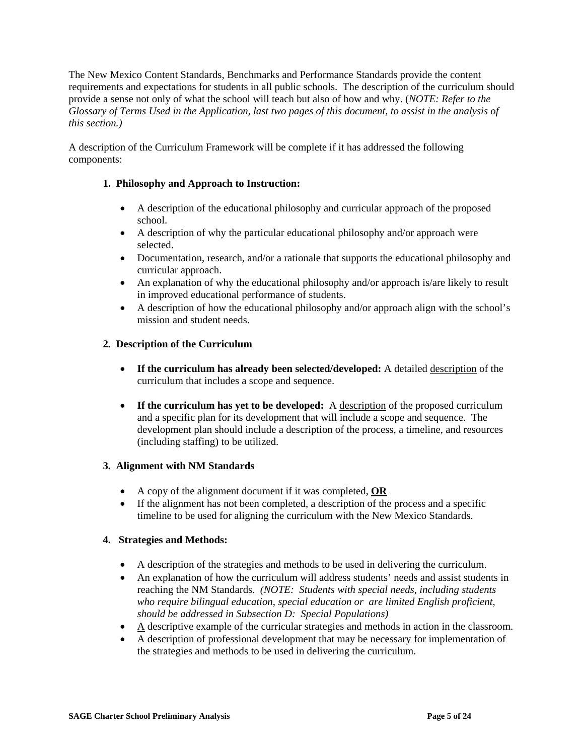The New Mexico Content Standards, Benchmarks and Performance Standards provide the content requirements and expectations for students in all public schools. The description of the curriculum should provide a sense not only of what the school will teach but also of how and why. (*NOTE: Refer to the Glossary of Terms Used in the Application, last two pages of this document, to assist in the analysis of this section.)*

A description of the Curriculum Framework will be complete if it has addressed the following components:

## **1. Philosophy and Approach to Instruction:**

- A description of the educational philosophy and curricular approach of the proposed school.
- A description of why the particular educational philosophy and/or approach were selected.
- Documentation, research, and/or a rationale that supports the educational philosophy and curricular approach.
- An explanation of why the educational philosophy and/or approach is/are likely to result in improved educational performance of students.
- A description of how the educational philosophy and/or approach align with the school's mission and student needs.

# **2. Description of the Curriculum**

- **If the curriculum has already been selected/developed:** A detailed description of the curriculum that includes a scope and sequence.
- If the curriculum has yet to be developed: A description of the proposed curriculum and a specific plan for its development that will include a scope and sequence. The development plan should include a description of the process, a timeline, and resources (including staffing) to be utilized.

## **3. Alignment with NM Standards**

- A copy of the alignment document if it was completed, **OR**
- If the alignment has not been completed, a description of the process and a specific timeline to be used for aligning the curriculum with the New Mexico Standards.

## **4. Strategies and Methods:**

- A description of the strategies and methods to be used in delivering the curriculum.
- An explanation of how the curriculum will address students' needs and assist students in reaching the NM Standards. *(NOTE: Students with special needs, including students who require bilingual education, special education or are limited English proficient, should be addressed in Subsection D: Special Populations)*
- A descriptive example of the curricular strategies and methods in action in the classroom.
- A description of professional development that may be necessary for implementation of the strategies and methods to be used in delivering the curriculum.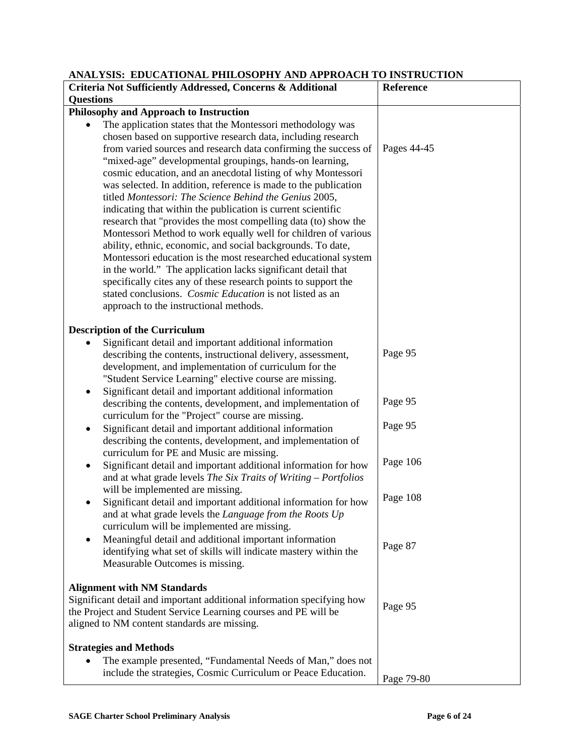# **ANALYSIS: EDUCATIONAL PHILOSOPHY AND APPROACH TO INSTRUCTION**

| ARALISIS. EDUCATIORAL I HEOSOI III-ARD AI I NOACH-IO IRSTNUCTIOR                                             | Reference   |
|--------------------------------------------------------------------------------------------------------------|-------------|
| Criteria Not Sufficiently Addressed, Concerns & Additional                                                   |             |
| <b>Questions</b>                                                                                             |             |
| Philosophy and Approach to Instruction                                                                       |             |
| The application states that the Montessori methodology was                                                   |             |
| chosen based on supportive research data, including research                                                 |             |
| from varied sources and research data confirming the success of                                              | Pages 44-45 |
| "mixed-age" developmental groupings, hands-on learning,                                                      |             |
| cosmic education, and an anecdotal listing of why Montessori                                                 |             |
| was selected. In addition, reference is made to the publication                                              |             |
| titled Montessori: The Science Behind the Genius 2005,                                                       |             |
| indicating that within the publication is current scientific                                                 |             |
| research that "provides the most compelling data (to) show the                                               |             |
| Montessori Method to work equally well for children of various                                               |             |
| ability, ethnic, economic, and social backgrounds. To date,                                                  |             |
| Montessori education is the most researched educational system                                               |             |
| in the world." The application lacks significant detail that                                                 |             |
| specifically cites any of these research points to support the                                               |             |
| stated conclusions. Cosmic Education is not listed as an                                                     |             |
| approach to the instructional methods.                                                                       |             |
|                                                                                                              |             |
| <b>Description of the Curriculum</b>                                                                         |             |
| Significant detail and important additional information                                                      | Page 95     |
| describing the contents, instructional delivery, assessment,                                                 |             |
| development, and implementation of curriculum for the                                                        |             |
| "Student Service Learning" elective course are missing.                                                      |             |
| Significant detail and important additional information<br>٠                                                 | Page 95     |
| describing the contents, development, and implementation of                                                  |             |
| curriculum for the "Project" course are missing.                                                             | Page 95     |
| Significant detail and important additional information<br>$\bullet$                                         |             |
| describing the contents, development, and implementation of                                                  |             |
| curriculum for PE and Music are missing.                                                                     | Page 106    |
| Significant detail and important additional information for how                                              |             |
| and at what grade levels The Six Traits of Writing $-$ Portfolios                                            |             |
| will be implemented are missing.                                                                             | Page 108    |
| Significant detail and important additional information for how                                              |             |
| and at what grade levels the Language from the Roots Up                                                      |             |
| curriculum will be implemented are missing.                                                                  |             |
| Meaningful detail and additional important information                                                       | Page 87     |
| identifying what set of skills will indicate mastery within the                                              |             |
| Measurable Outcomes is missing.                                                                              |             |
|                                                                                                              |             |
| <b>Alignment with NM Standards</b><br>Significant detail and important additional information specifying how |             |
| the Project and Student Service Learning courses and PE will be                                              | Page 95     |
| aligned to NM content standards are missing.                                                                 |             |
|                                                                                                              |             |
| <b>Strategies and Methods</b>                                                                                |             |
| The example presented, "Fundamental Needs of Man," does not                                                  |             |
| include the strategies, Cosmic Curriculum or Peace Education.                                                |             |
|                                                                                                              | Page 79-80  |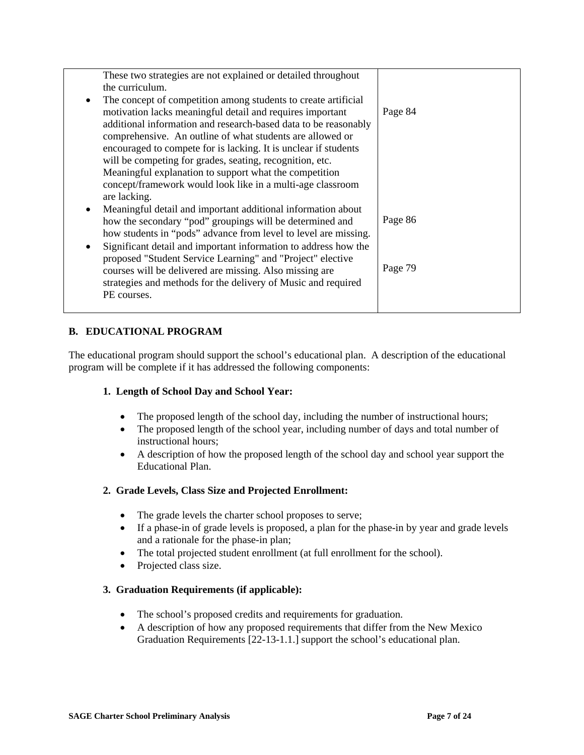| These two strategies are not explained or detailed throughout   |         |
|-----------------------------------------------------------------|---------|
| the curriculum.                                                 |         |
| The concept of competition among students to create artificial  |         |
| motivation lacks meaningful detail and requires important       | Page 84 |
| additional information and research-based data to be reasonably |         |
| comprehensive. An outline of what students are allowed or       |         |
| encouraged to compete for is lacking. It is unclear if students |         |
| will be competing for grades, seating, recognition, etc.        |         |
| Meaningful explanation to support what the competition          |         |
| concept/framework would look like in a multi-age classroom      |         |
| are lacking.                                                    |         |
| Meaningful detail and important additional information about    |         |
| how the secondary "pod" groupings will be determined and        | Page 86 |
| how students in "pods" advance from level to level are missing. |         |
| Significant detail and important information to address how the |         |
| proposed "Student Service Learning" and "Project" elective      |         |
| courses will be delivered are missing. Also missing are         | Page 79 |
| strategies and methods for the delivery of Music and required   |         |
| PE courses.                                                     |         |
|                                                                 |         |

# **B. EDUCATIONAL PROGRAM**

The educational program should support the school's educational plan. A description of the educational program will be complete if it has addressed the following components:

## **1. Length of School Day and School Year:**

- The proposed length of the school day, including the number of instructional hours;
- The proposed length of the school year, including number of days and total number of instructional hours;
- A description of how the proposed length of the school day and school year support the Educational Plan.

## **2. Grade Levels, Class Size and Projected Enrollment:**

- The grade levels the charter school proposes to serve;
- If a phase-in of grade levels is proposed, a plan for the phase-in by year and grade levels and a rationale for the phase-in plan;
- The total projected student enrollment (at full enrollment for the school).
- Projected class size.

### **3. Graduation Requirements (if applicable):**

- The school's proposed credits and requirements for graduation.
- A description of how any proposed requirements that differ from the New Mexico Graduation Requirements [22-13-1.1.] support the school's educational plan.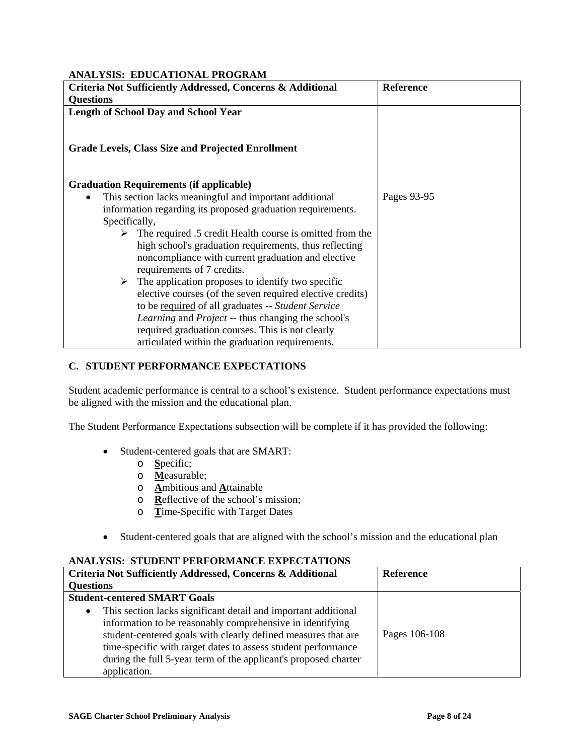|  | ANALYSIS: EDUCATIONAL PROGRAM |
|--|-------------------------------|
|--|-------------------------------|

| Criteria Not Sufficiently Addressed, Concerns & Additional                | <b>Reference</b> |
|---------------------------------------------------------------------------|------------------|
| <b>Questions</b>                                                          |                  |
| <b>Length of School Day and School Year</b>                               |                  |
|                                                                           |                  |
| <b>Grade Levels, Class Size and Projected Enrollment</b>                  |                  |
|                                                                           |                  |
| <b>Graduation Requirements (if applicable)</b>                            |                  |
| This section lacks meaningful and important additional<br>$\bullet$       | Pages 93-95      |
| information regarding its proposed graduation requirements.               |                  |
| Specifically,                                                             |                  |
| $\triangleright$ The required .5 credit Health course is omitted from the |                  |
| high school's graduation requirements, thus reflecting                    |                  |
| noncompliance with current graduation and elective                        |                  |
| requirements of 7 credits.                                                |                  |
| $\triangleright$ The application proposes to identify two specific        |                  |
| elective courses (of the seven required elective credits)                 |                  |
| to be required of all graduates -- Student Service                        |                  |
| Learning and Project -- thus changing the school's                        |                  |
| required graduation courses. This is not clearly                          |                  |
| articulated within the graduation requirements.                           |                  |

## **C. STUDENT PERFORMANCE EXPECTATIONS**

Student academic performance is central to a school's existence. Student performance expectations must be aligned with the mission and the educational plan.

The Student Performance Expectations subsection will be complete if it has provided the following:

- Student-centered goals that are SMART:
	- o **S**pecific;
	- o **M**easurable;
	- o **A**mbitious and **A**ttainable
	- o **R**eflective of the school's mission;
	- o **T**ime-Specific with Target Dates
- Student-centered goals that are aligned with the school's mission and the educational plan

## **ANALYSIS: STUDENT PERFORMANCE EXPECTATIONS**

| Criteria Not Sufficiently Addressed, Concerns & Additional                                                                                                                                                                                                                                                                                                    | <b>Reference</b> |
|---------------------------------------------------------------------------------------------------------------------------------------------------------------------------------------------------------------------------------------------------------------------------------------------------------------------------------------------------------------|------------------|
| <b>Questions</b>                                                                                                                                                                                                                                                                                                                                              |                  |
| <b>Student-centered SMART Goals</b>                                                                                                                                                                                                                                                                                                                           |                  |
| This section lacks significant detail and important additional<br>$\bullet$<br>information to be reasonably comprehensive in identifying<br>student-centered goals with clearly defined measures that are<br>time-specific with target dates to assess student performance<br>during the full 5-year term of the applicant's proposed charter<br>application. | Pages 106-108    |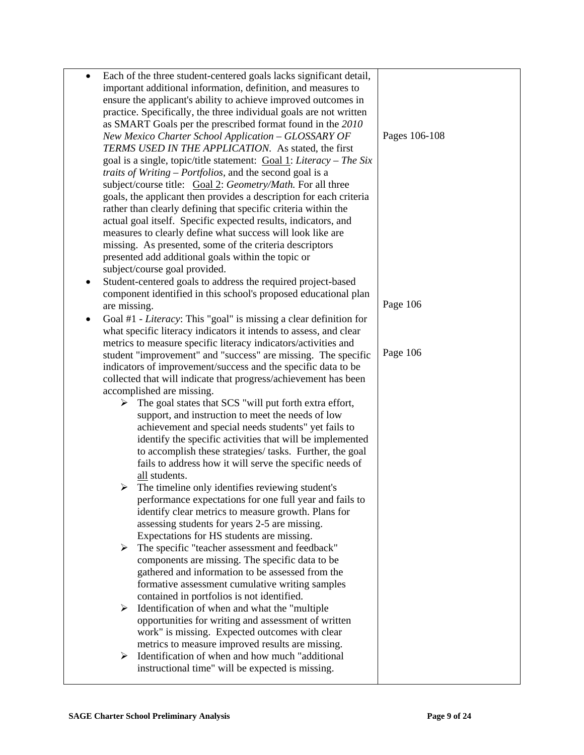| $\bullet$ |              | Each of the three student-centered goals lacks significant detail,                                                               |               |
|-----------|--------------|----------------------------------------------------------------------------------------------------------------------------------|---------------|
|           |              | important additional information, definition, and measures to                                                                    |               |
|           |              | ensure the applicant's ability to achieve improved outcomes in                                                                   |               |
|           |              | practice. Specifically, the three individual goals are not written                                                               |               |
|           |              | as SMART Goals per the prescribed format found in the 2010                                                                       |               |
|           |              | New Mexico Charter School Application - GLOSSARY OF                                                                              | Pages 106-108 |
|           |              | TERMS USED IN THE APPLICATION. As stated, the first                                                                              |               |
|           |              | goal is a single, topic/title statement: $\frac{Goal 1}{.}$ Literacy – The Six                                                   |               |
|           |              | traits of Writing – Portfolios, and the second goal is a                                                                         |               |
|           |              |                                                                                                                                  |               |
|           |              | subject/course title: Goal 2: Geometry/Math. For all three<br>goals, the applicant then provides a description for each criteria |               |
|           |              | rather than clearly defining that specific criteria within the                                                                   |               |
|           |              |                                                                                                                                  |               |
|           |              | actual goal itself. Specific expected results, indicators, and                                                                   |               |
|           |              | measures to clearly define what success will look like are                                                                       |               |
|           |              | missing. As presented, some of the criteria descriptors                                                                          |               |
|           |              | presented add additional goals within the topic or                                                                               |               |
|           |              | subject/course goal provided.                                                                                                    |               |
| ٠         |              | Student-centered goals to address the required project-based                                                                     |               |
|           |              | component identified in this school's proposed educational plan                                                                  | Page 106      |
|           | are missing. |                                                                                                                                  |               |
| ٠         |              | Goal #1 - Literacy: This "goal" is missing a clear definition for                                                                |               |
|           |              | what specific literacy indicators it intends to assess, and clear                                                                |               |
|           |              | metrics to measure specific literacy indicators/activities and                                                                   | Page 106      |
|           |              | student "improvement" and "success" are missing. The specific                                                                    |               |
|           |              | indicators of improvement/success and the specific data to be                                                                    |               |
|           |              | collected that will indicate that progress/achievement has been                                                                  |               |
|           |              | accomplished are missing.                                                                                                        |               |
|           | ➤            | The goal states that SCS "will put forth extra effort,                                                                           |               |
|           |              | support, and instruction to meet the needs of low                                                                                |               |
|           |              | achievement and special needs students" yet fails to                                                                             |               |
|           |              | identify the specific activities that will be implemented                                                                        |               |
|           |              | to accomplish these strategies/tasks. Further, the goal                                                                          |               |
|           |              | fails to address how it will serve the specific needs of<br>all students.                                                        |               |
|           | ➤            | The timeline only identifies reviewing student's                                                                                 |               |
|           |              | performance expectations for one full year and fails to                                                                          |               |
|           |              | identify clear metrics to measure growth. Plans for                                                                              |               |
|           |              | assessing students for years 2-5 are missing.                                                                                    |               |
|           |              | Expectations for HS students are missing.                                                                                        |               |
|           | ➤            | The specific "teacher assessment and feedback"                                                                                   |               |
|           |              | components are missing. The specific data to be                                                                                  |               |
|           |              | gathered and information to be assessed from the                                                                                 |               |
|           |              | formative assessment cumulative writing samples                                                                                  |               |
|           |              | contained in portfolios is not identified.                                                                                       |               |
|           | ➤            | Identification of when and what the "multiple                                                                                    |               |
|           |              | opportunities for writing and assessment of written                                                                              |               |
|           |              | work" is missing. Expected outcomes with clear                                                                                   |               |
|           |              | metrics to measure improved results are missing.                                                                                 |               |
|           | ➤            | Identification of when and how much "additional"                                                                                 |               |
|           |              | instructional time" will be expected is missing.                                                                                 |               |
|           |              |                                                                                                                                  |               |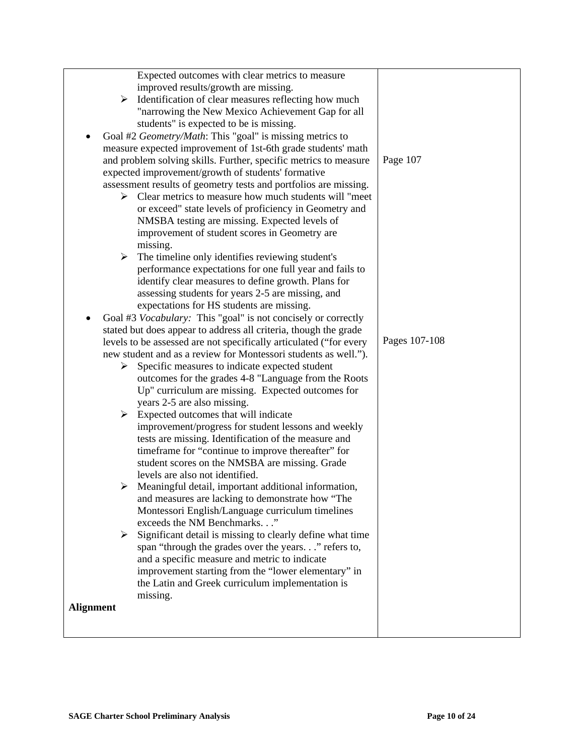|                  | Expected outcomes with clear metrics to measure                                                         |               |
|------------------|---------------------------------------------------------------------------------------------------------|---------------|
|                  | improved results/growth are missing.                                                                    |               |
|                  | $\triangleright$ Identification of clear measures reflecting how much                                   |               |
|                  | "narrowing the New Mexico Achievement Gap for all                                                       |               |
|                  | students" is expected to be is missing.                                                                 |               |
|                  | Goal #2 Geometry/Math: This "goal" is missing metrics to                                                |               |
|                  | measure expected improvement of 1st-6th grade students' math                                            |               |
|                  | and problem solving skills. Further, specific metrics to measure                                        | Page 107      |
|                  | expected improvement/growth of students' formative                                                      |               |
|                  | assessment results of geometry tests and portfolios are missing.                                        |               |
|                  | $\triangleright$ Clear metrics to measure how much students will "meet"                                 |               |
|                  | or exceed" state levels of proficiency in Geometry and                                                  |               |
|                  | NMSBA testing are missing. Expected levels of                                                           |               |
|                  | improvement of student scores in Geometry are                                                           |               |
|                  | missing.                                                                                                |               |
| ≻                | The timeline only identifies reviewing student's                                                        |               |
|                  | performance expectations for one full year and fails to                                                 |               |
|                  | identify clear measures to define growth. Plans for                                                     |               |
|                  | assessing students for years 2-5 are missing, and                                                       |               |
|                  | expectations for HS students are missing.                                                               |               |
|                  | Goal #3 <i>Vocabulary</i> : This "goal" is not concisely or correctly                                   |               |
|                  | stated but does appear to address all criteria, though the grade                                        |               |
|                  | levels to be assessed are not specifically articulated ("for every                                      | Pages 107-108 |
|                  | new student and as a review for Montessori students as well.").                                         |               |
| ≻                | Specific measures to indicate expected student                                                          |               |
|                  | outcomes for the grades 4-8 "Language from the Roots"                                                   |               |
|                  | Up" curriculum are missing. Expected outcomes for                                                       |               |
|                  | years 2-5 are also missing.                                                                             |               |
|                  | $\triangleright$ Expected outcomes that will indicate                                                   |               |
|                  | improvement/progress for student lessons and weekly                                                     |               |
|                  | tests are missing. Identification of the measure and                                                    |               |
|                  | timeframe for "continue to improve thereafter" for                                                      |               |
|                  | student scores on the NMSBA are missing. Grade                                                          |               |
|                  | levels are also not identified.                                                                         |               |
|                  | $\triangleright$ Meaningful detail, important additional information,                                   |               |
|                  | and measures are lacking to demonstrate how "The                                                        |               |
|                  | Montessori English/Language curriculum timelines                                                        |               |
|                  | exceeds the NM Benchmarks"                                                                              |               |
| ≻                | Significant detail is missing to clearly define what time                                               |               |
|                  | span "through the grades over the years" refers to,                                                     |               |
|                  | and a specific measure and metric to indicate                                                           |               |
|                  | improvement starting from the "lower elementary" in<br>the Latin and Greek curriculum implementation is |               |
|                  | missing.                                                                                                |               |
| <b>Alignment</b> |                                                                                                         |               |
|                  |                                                                                                         |               |
|                  |                                                                                                         |               |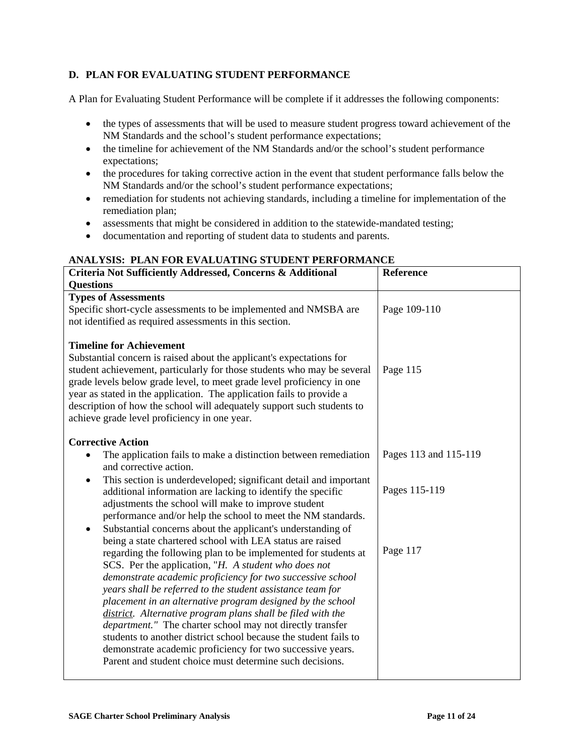## **D. PLAN FOR EVALUATING STUDENT PERFORMANCE**

A Plan for Evaluating Student Performance will be complete if it addresses the following components:

- the types of assessments that will be used to measure student progress toward achievement of the NM Standards and the school's student performance expectations;
- the timeline for achievement of the NM Standards and/or the school's student performance expectations;
- the procedures for taking corrective action in the event that student performance falls below the NM Standards and/or the school's student performance expectations;
- remediation for students not achieving standards, including a timeline for implementation of the remediation plan;
- assessments that might be considered in addition to the statewide-mandated testing;
- documentation and reporting of student data to students and parents.

| ANAL I SIS;   FLAN FUK EVALUA HING STUDEN I  FEKFUKMANCE                                                                       |                       |  |  |  |
|--------------------------------------------------------------------------------------------------------------------------------|-----------------------|--|--|--|
| Criteria Not Sufficiently Addressed, Concerns & Additional                                                                     | <b>Reference</b>      |  |  |  |
| <b>Questions</b>                                                                                                               |                       |  |  |  |
| <b>Types of Assessments</b>                                                                                                    |                       |  |  |  |
| Specific short-cycle assessments to be implemented and NMSBA are                                                               | Page 109-110          |  |  |  |
| not identified as required assessments in this section.                                                                        |                       |  |  |  |
| <b>Timeline for Achievement</b>                                                                                                |                       |  |  |  |
| Substantial concern is raised about the applicant's expectations for                                                           |                       |  |  |  |
| student achievement, particularly for those students who may be several                                                        | Page 115              |  |  |  |
| grade levels below grade level, to meet grade level proficiency in one                                                         |                       |  |  |  |
| year as stated in the application. The application fails to provide a                                                          |                       |  |  |  |
| description of how the school will adequately support such students to                                                         |                       |  |  |  |
| achieve grade level proficiency in one year.                                                                                   |                       |  |  |  |
| <b>Corrective Action</b>                                                                                                       |                       |  |  |  |
| The application fails to make a distinction between remediation<br>and corrective action.                                      | Pages 113 and 115-119 |  |  |  |
| This section is underdeveloped; significant detail and important<br>٠                                                          |                       |  |  |  |
| additional information are lacking to identify the specific                                                                    | Pages 115-119         |  |  |  |
| adjustments the school will make to improve student                                                                            |                       |  |  |  |
| performance and/or help the school to meet the NM standards.                                                                   |                       |  |  |  |
| Substantial concerns about the applicant's understanding of<br>٠                                                               |                       |  |  |  |
| being a state chartered school with LEA status are raised                                                                      |                       |  |  |  |
| regarding the following plan to be implemented for students at                                                                 | Page 117              |  |  |  |
| SCS. Per the application, "H. A student who does not                                                                           |                       |  |  |  |
| demonstrate academic proficiency for two successive school                                                                     |                       |  |  |  |
| years shall be referred to the student assistance team for                                                                     |                       |  |  |  |
| placement in an alternative program designed by the school                                                                     |                       |  |  |  |
| district. Alternative program plans shall be filed with the                                                                    |                       |  |  |  |
| department." The charter school may not directly transfer                                                                      |                       |  |  |  |
| students to another district school because the student fails to<br>demonstrate academic proficiency for two successive years. |                       |  |  |  |
| Parent and student choice must determine such decisions.                                                                       |                       |  |  |  |
|                                                                                                                                |                       |  |  |  |

# **ANALYSIS: PLAN FOR EVALUATING STUDENT PERFORMANCE**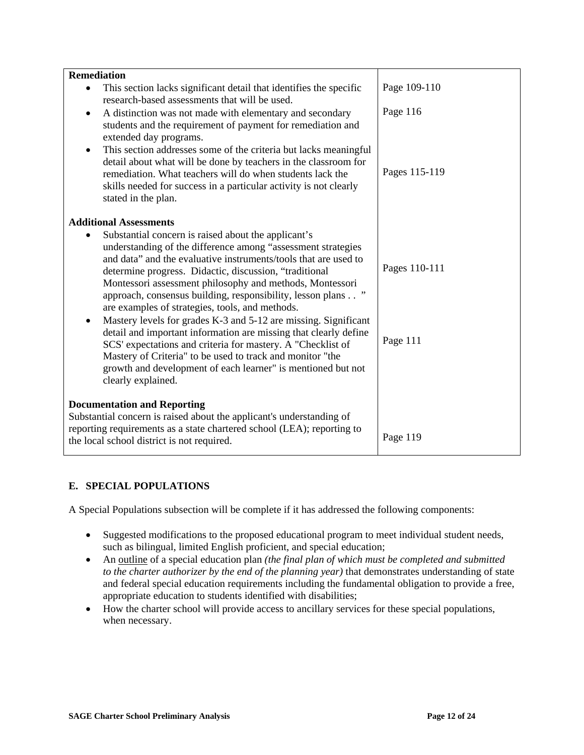| <b>Remediation</b>                                                                                                        |               |
|---------------------------------------------------------------------------------------------------------------------------|---------------|
| This section lacks significant detail that identifies the specific                                                        | Page 109-110  |
| research-based assessments that will be used.                                                                             |               |
| A distinction was not made with elementary and secondary<br>$\bullet$                                                     | Page 116      |
| students and the requirement of payment for remediation and<br>extended day programs.                                     |               |
| This section addresses some of the criteria but lacks meaningful<br>$\bullet$                                             |               |
| detail about what will be done by teachers in the classroom for                                                           |               |
| remediation. What teachers will do when students lack the                                                                 | Pages 115-119 |
| skills needed for success in a particular activity is not clearly                                                         |               |
| stated in the plan.                                                                                                       |               |
| <b>Additional Assessments</b>                                                                                             |               |
| Substantial concern is raised about the applicant's                                                                       |               |
| understanding of the difference among "assessment strategies                                                              |               |
| and data" and the evaluative instruments/tools that are used to<br>determine progress. Didactic, discussion, "traditional | Pages 110-111 |
| Montessori assessment philosophy and methods, Montessori                                                                  |               |
| approach, consensus building, responsibility, lesson plans "                                                              |               |
| are examples of strategies, tools, and methods.                                                                           |               |
| Mastery levels for grades K-3 and 5-12 are missing. Significant<br>$\bullet$                                              |               |
| detail and important information are missing that clearly define                                                          | Page 111      |
| SCS' expectations and criteria for mastery. A "Checklist of                                                               |               |
| Mastery of Criteria" to be used to track and monitor "the<br>growth and development of each learner" is mentioned but not |               |
| clearly explained.                                                                                                        |               |
|                                                                                                                           |               |
| <b>Documentation and Reporting</b>                                                                                        |               |
| Substantial concern is raised about the applicant's understanding of                                                      |               |
| reporting requirements as a state chartered school (LEA); reporting to<br>the local school district is not required.      | Page 119      |
|                                                                                                                           |               |

# **E. SPECIAL POPULATIONS**

A Special Populations subsection will be complete if it has addressed the following components:

- Suggested modifications to the proposed educational program to meet individual student needs, such as bilingual, limited English proficient, and special education;
- An outline of a special education plan *(the final plan of which must be completed and submitted to the charter authorizer by the end of the planning year)* that demonstrates understanding of state and federal special education requirements including the fundamental obligation to provide a free, appropriate education to students identified with disabilities;
- How the charter school will provide access to ancillary services for these special populations, when necessary.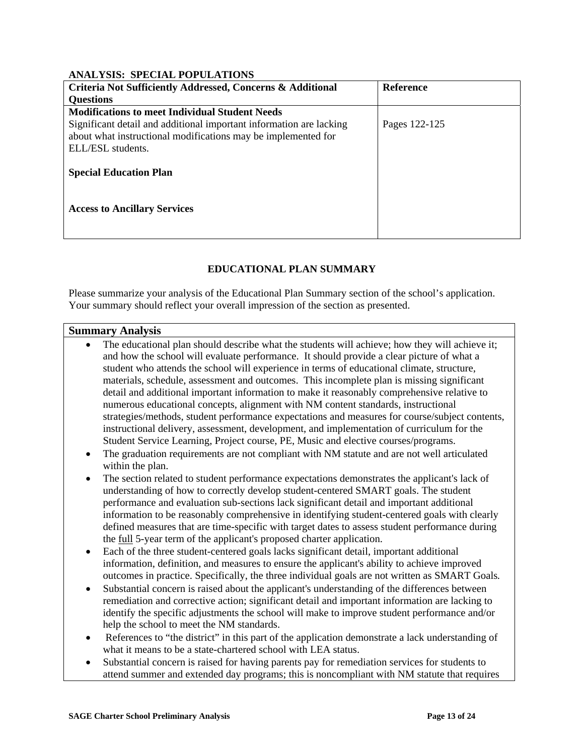## **ANALYSIS: SPECIAL POPULATIONS**

| Criteria Not Sufficiently Addressed, Concerns & Additional           | Reference     |
|----------------------------------------------------------------------|---------------|
| <b>Questions</b>                                                     |               |
| <b>Modifications to meet Individual Student Needs</b>                |               |
| Significant detail and additional important information are lacking  | Pages 122-125 |
| about what instructional modifications may be implemented for        |               |
| ELL/ESL students.                                                    |               |
| <b>Special Education Plan</b><br><b>Access to Ancillary Services</b> |               |

# **EDUCATIONAL PLAN SUMMARY**

Please summarize your analysis of the Educational Plan Summary section of the school's application. Your summary should reflect your overall impression of the section as presented.

| <b>Summary Analysis</b> |                                                                                                  |
|-------------------------|--------------------------------------------------------------------------------------------------|
| $\bullet$               | The educational plan should describe what the students will achieve; how they will achieve it;   |
|                         | and how the school will evaluate performance. It should provide a clear picture of what a        |
|                         | student who attends the school will experience in terms of educational climate, structure,       |
|                         | materials, schedule, assessment and outcomes. This incomplete plan is missing significant        |
|                         | detail and additional important information to make it reasonably comprehensive relative to      |
|                         | numerous educational concepts, alignment with NM content standards, instructional                |
|                         | strategies/methods, student performance expectations and measures for course/subject contents,   |
|                         | instructional delivery, assessment, development, and implementation of curriculum for the        |
|                         | Student Service Learning, Project course, PE, Music and elective courses/programs.               |
| $\bullet$               | The graduation requirements are not compliant with NM statute and are not well articulated       |
| within the plan.        |                                                                                                  |
| $\bullet$               | The section related to student performance expectations demonstrates the applicant's lack of     |
|                         | understanding of how to correctly develop student-centered SMART goals. The student              |
|                         | performance and evaluation sub-sections lack significant detail and important additional         |
|                         | information to be reasonably comprehensive in identifying student-centered goals with clearly    |
|                         | defined measures that are time-specific with target dates to assess student performance during   |
|                         | the <u>full</u> 5-year term of the applicant's proposed charter application.                     |
|                         | Each of the three student-centered goals lacks significant detail, important additional          |
|                         | information, definition, and measures to ensure the applicant's ability to achieve improved      |
|                         | outcomes in practice. Specifically, the three individual goals are not written as SMART Goals.   |
| $\bullet$               | Substantial concern is raised about the applicant's understanding of the differences between     |
|                         | remediation and corrective action; significant detail and important information are lacking to   |
|                         | identify the specific adjustments the school will make to improve student performance and/or     |
|                         | help the school to meet the NM standards.                                                        |
| $\bullet$               | References to "the district" in this part of the application demonstrate a lack understanding of |
|                         | what it means to be a state-chartered school with LEA status.                                    |
|                         | Substantial concern is raised for having parents pay for remediation services for students to    |
|                         | attend summer and extended day programs; this is noncompliant with NM statute that requires      |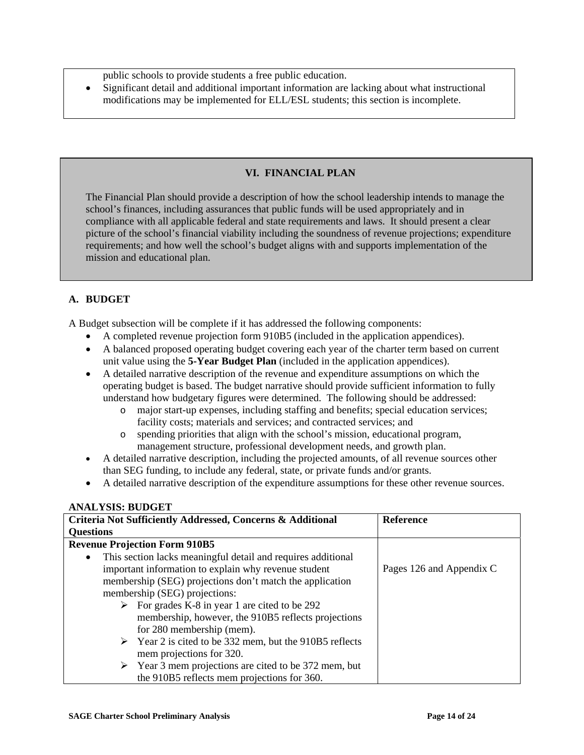public schools to provide students a free public education.

• Significant detail and additional important information are lacking about what instructional modifications may be implemented for ELL/ESL students; this section is incomplete.

## **VI. FINANCIAL PLAN**

The Financial Plan should provide a description of how the school leadership intends to manage the school's finances, including assurances that public funds will be used appropriately and in compliance with all applicable federal and state requirements and laws. It should present a clear picture of the school's financial viability including the soundness of revenue projections; expenditure requirements; and how well the school's budget aligns with and supports implementation of the mission and educational plan.

## **A. BUDGET**

A Budget subsection will be complete if it has addressed the following components:

- A completed revenue projection form 910B5 (included in the application appendices).
- A balanced proposed operating budget covering each year of the charter term based on current unit value using the **5-Year Budget Plan** (included in the application appendices).
- A detailed narrative description of the revenue and expenditure assumptions on which the operating budget is based. The budget narrative should provide sufficient information to fully understand how budgetary figures were determined. The following should be addressed:
	- o major start-up expenses, including staffing and benefits; special education services; facility costs; materials and services; and contracted services; and
	- o spending priorities that align with the school's mission, educational program, management structure, professional development needs, and growth plan.
- A detailed narrative description, including the projected amounts, of all revenue sources other than SEG funding, to include any federal, state, or private funds and/or grants.
- A detailed narrative description of the expenditure assumptions for these other revenue sources.

#### **ANALYSIS: BUDGET**

| Criteria Not Sufficiently Addressed, Concerns & Additional             | <b>Reference</b>         |
|------------------------------------------------------------------------|--------------------------|
| <b>Questions</b>                                                       |                          |
| <b>Revenue Projection Form 910B5</b>                                   |                          |
| This section lacks meaningful detail and requires additional<br>٠      |                          |
| important information to explain why revenue student                   | Pages 126 and Appendix C |
| membership (SEG) projections don't match the application               |                          |
| membership (SEG) projections:                                          |                          |
| $\triangleright$ For grades K-8 in year 1 are cited to be 292          |                          |
| membership, however, the 910B5 reflects projections                    |                          |
| for 280 membership (mem).                                              |                          |
| $\triangleright$ Year 2 is cited to be 332 mem, but the 910B5 reflects |                          |
| mem projections for 320.                                               |                          |
| $\triangleright$ Year 3 mem projections are cited to be 372 mem, but   |                          |
| the 910B5 reflects mem projections for 360.                            |                          |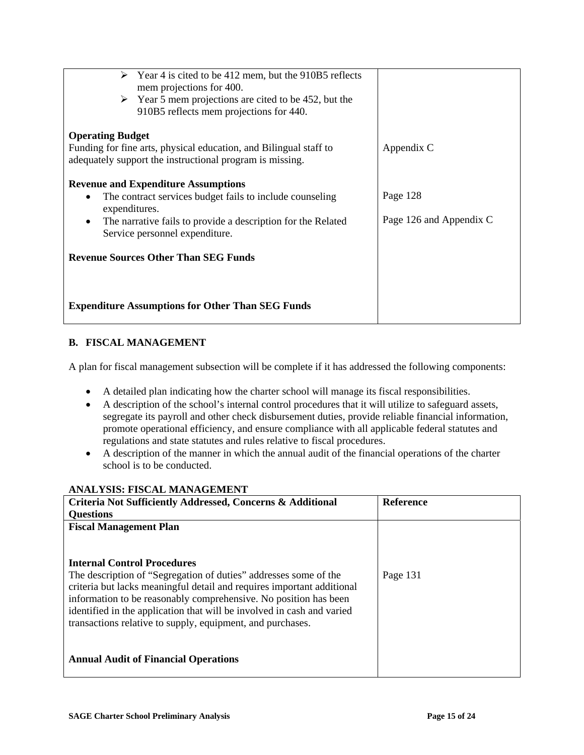|                                             | $\triangleright$ Year 4 is cited to be 412 mem, but the 910B5 reflects<br>mem projections for 400.                            |                         |
|---------------------------------------------|-------------------------------------------------------------------------------------------------------------------------------|-------------------------|
|                                             | $\triangleright$ Year 5 mem projections are cited to be 452, but the<br>910B5 reflects mem projections for 440.               |                         |
| <b>Operating Budget</b>                     |                                                                                                                               |                         |
|                                             | Funding for fine arts, physical education, and Bilingual staff to<br>adequately support the instructional program is missing. | Appendix C              |
|                                             | <b>Revenue and Expenditure Assumptions</b>                                                                                    |                         |
| $\bullet$<br>expenditures.                  | The contract services budget fails to include counseling                                                                      | Page 128                |
|                                             | The narrative fails to provide a description for the Related<br>Service personnel expenditure.                                | Page 126 and Appendix C |
| <b>Revenue Sources Other Than SEG Funds</b> |                                                                                                                               |                         |
|                                             |                                                                                                                               |                         |
|                                             | <b>Expenditure Assumptions for Other Than SEG Funds</b>                                                                       |                         |

## **B. FISCAL MANAGEMENT**

A plan for fiscal management subsection will be complete if it has addressed the following components:

- A detailed plan indicating how the charter school will manage its fiscal responsibilities.
- A description of the school's internal control procedures that it will utilize to safeguard assets, segregate its payroll and other check disbursement duties, provide reliable financial information, promote operational efficiency, and ensure compliance with all applicable federal statutes and regulations and state statutes and rules relative to fiscal procedures.
- A description of the manner in which the annual audit of the financial operations of the charter school is to be conducted.

## **ANALYSIS: FISCAL MANAGEMENT**

| Criteria Not Sufficiently Addressed, Concerns & Additional<br><b>Questions</b>                                                             | <b>Reference</b> |
|--------------------------------------------------------------------------------------------------------------------------------------------|------------------|
| <b>Fiscal Management Plan</b>                                                                                                              |                  |
|                                                                                                                                            |                  |
| <b>Internal Control Procedures</b>                                                                                                         |                  |
| The description of "Segregation of duties" addresses some of the                                                                           | Page 131         |
| criteria but lacks meaningful detail and requires important additional<br>information to be reasonably comprehensive. No position has been |                  |
| identified in the application that will be involved in cash and varied                                                                     |                  |
| transactions relative to supply, equipment, and purchases.                                                                                 |                  |
|                                                                                                                                            |                  |
| <b>Annual Audit of Financial Operations</b>                                                                                                |                  |
|                                                                                                                                            |                  |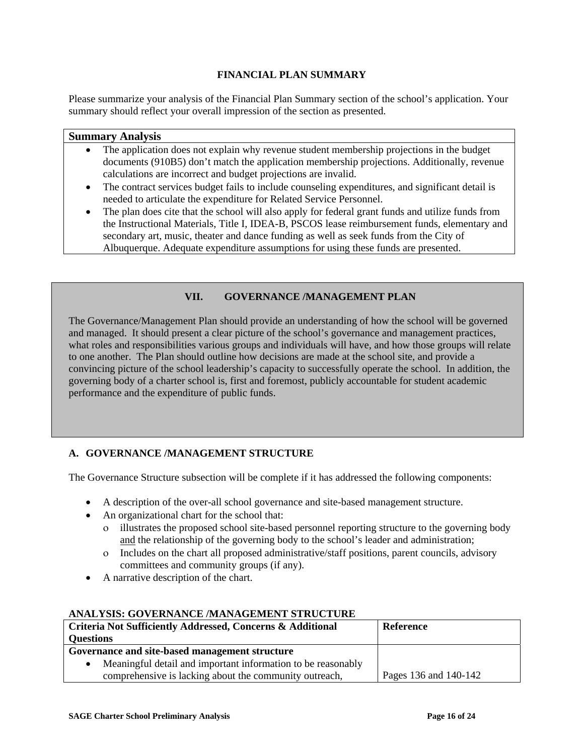## **FINANCIAL PLAN SUMMARY**

Please summarize your analysis of the Financial Plan Summary section of the school's application. Your summary should reflect your overall impression of the section as presented.

#### **Summary Analysis**

- The application does not explain why revenue student membership projections in the budget documents (910B5) don't match the application membership projections. Additionally, revenue calculations are incorrect and budget projections are invalid.
- The contract services budget fails to include counseling expenditures, and significant detail is needed to articulate the expenditure for Related Service Personnel.
- The plan does cite that the school will also apply for federal grant funds and utilize funds from the Instructional Materials, Title I, IDEA-B, PSCOS lease reimbursement funds, elementary and secondary art, music, theater and dance funding as well as seek funds from the City of Albuquerque. Adequate expenditure assumptions for using these funds are presented.

## **VII. GOVERNANCE /MANAGEMENT PLAN**

The Governance/Management Plan should provide an understanding of how the school will be governed and managed. It should present a clear picture of the school's governance and management practices, what roles and responsibilities various groups and individuals will have, and how those groups will relate to one another. The Plan should outline how decisions are made at the school site, and provide a convincing picture of the school leadership's capacity to successfully operate the school. In addition, the governing body of a charter school is, first and foremost, publicly accountable for student academic performance and the expenditure of public funds.

# **A. GOVERNANCE /MANAGEMENT STRUCTURE**

The Governance Structure subsection will be complete if it has addressed the following components:

- A description of the over-all school governance and site-based management structure.
- An organizational chart for the school that:
	- ο illustrates the proposed school site-based personnel reporting structure to the governing body and the relationship of the governing body to the school's leader and administration;
	- ο Includes on the chart all proposed administrative/staff positions, parent councils, advisory committees and community groups (if any).
- A narrative description of the chart.

## **ANALYSIS: GOVERNANCE /MANAGEMENT STRUCTURE**

|                  | Criteria Not Sufficiently Addressed, Concerns & Additional   | Reference             |
|------------------|--------------------------------------------------------------|-----------------------|
| <b>Questions</b> |                                                              |                       |
|                  | Governance and site-based management structure               |                       |
|                  | Meaningful detail and important information to be reasonably |                       |
|                  | comprehensive is lacking about the community outreach,       | Pages 136 and 140-142 |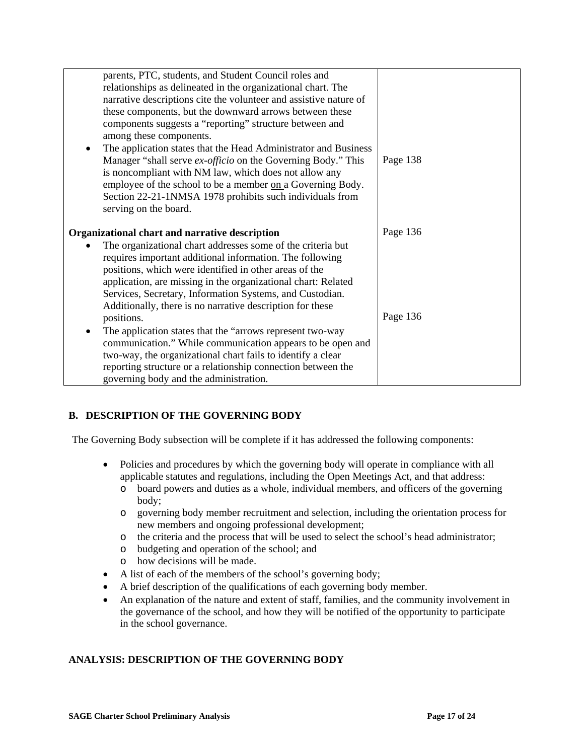| parents, PTC, students, and Student Council roles and                                                  |          |
|--------------------------------------------------------------------------------------------------------|----------|
| relationships as delineated in the organizational chart. The                                           |          |
| narrative descriptions cite the volunteer and assistive nature of                                      |          |
| these components, but the downward arrows between these                                                |          |
| components suggests a "reporting" structure between and                                                |          |
| among these components.                                                                                |          |
| The application states that the Head Administrator and Business<br>$\bullet$                           |          |
| Manager "shall serve ex-officio on the Governing Body." This                                           | Page 138 |
| is noncompliant with NM law, which does not allow any                                                  |          |
| employee of the school to be a member on a Governing Body.                                             |          |
| Section 22-21-1NMSA 1978 prohibits such individuals from                                               |          |
| serving on the board.                                                                                  |          |
|                                                                                                        |          |
| Organizational chart and narrative description                                                         | Page 136 |
| The organizational chart addresses some of the criteria but                                            |          |
| requires important additional information. The following                                               |          |
| positions, which were identified in other areas of the                                                 |          |
| application, are missing in the organizational chart: Related                                          |          |
| Services, Secretary, Information Systems, and Custodian.                                               |          |
| Additionally, there is no narrative description for these                                              | Page 136 |
| positions.                                                                                             |          |
| The application states that the "arrows represent two-way<br>٠                                         |          |
|                                                                                                        |          |
| communication." While communication appears to be open and                                             |          |
| two-way, the organizational chart fails to identify a clear                                            |          |
| reporting structure or a relationship connection between the<br>governing body and the administration. |          |

## **B. DESCRIPTION OF THE GOVERNING BODY**

The Governing Body subsection will be complete if it has addressed the following components:

- Policies and procedures by which the governing body will operate in compliance with all applicable statutes and regulations, including the Open Meetings Act, and that address:
	- o board powers and duties as a whole, individual members, and officers of the governing body;
	- o governing body member recruitment and selection, including the orientation process for new members and ongoing professional development;
	- o the criteria and the process that will be used to select the school's head administrator;
	- o budgeting and operation of the school; and
	- o how decisions will be made.
- A list of each of the members of the school's governing body;
- A brief description of the qualifications of each governing body member.
- An explanation of the nature and extent of staff, families, and the community involvement in the governance of the school, and how they will be notified of the opportunity to participate in the school governance.

#### **ANALYSIS: DESCRIPTION OF THE GOVERNING BODY**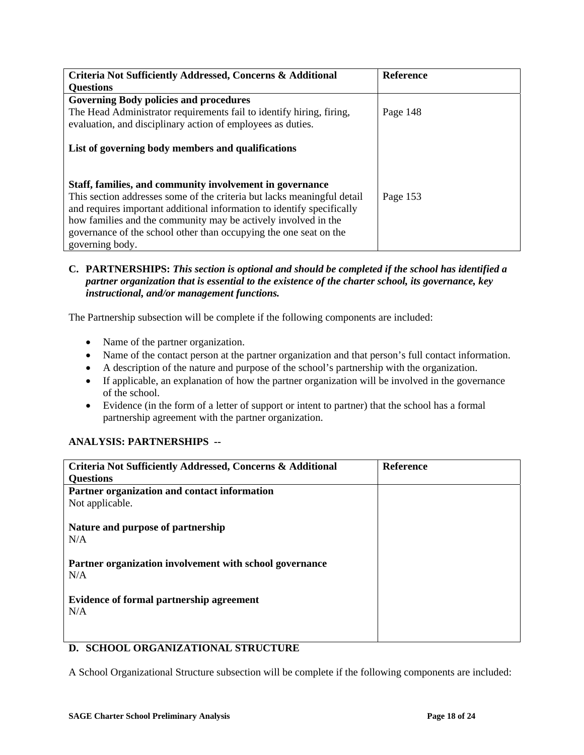| <b>Reference</b> |
|------------------|
|                  |
|                  |
| Page 148         |
|                  |
|                  |
|                  |
|                  |
|                  |
| Page 153         |
|                  |
|                  |
|                  |
|                  |
|                  |

## **C. PARTNERSHIPS:** *This section is optional and should be completed if the school has identified a partner organization that is essential to the existence of the charter school, its governance, key instructional, and/or management functions.*

The Partnership subsection will be complete if the following components are included:

- Name of the partner organization.
- Name of the contact person at the partner organization and that person's full contact information.
- A description of the nature and purpose of the school's partnership with the organization.
- If applicable, an explanation of how the partner organization will be involved in the governance of the school.
- Evidence (in the form of a letter of support or intent to partner) that the school has a formal partnership agreement with the partner organization.

## **ANALYSIS: PARTNERSHIPS --**

| Criteria Not Sufficiently Addressed, Concerns & Additional | <b>Reference</b> |
|------------------------------------------------------------|------------------|
| <b>Questions</b>                                           |                  |
| Partner organization and contact information               |                  |
| Not applicable.                                            |                  |
|                                                            |                  |
| Nature and purpose of partnership                          |                  |
| N/A                                                        |                  |
|                                                            |                  |
| Partner organization involvement with school governance    |                  |
| N/A                                                        |                  |
|                                                            |                  |
| Evidence of formal partnership agreement                   |                  |
| N/A                                                        |                  |
|                                                            |                  |
|                                                            |                  |

#### **D. SCHOOL ORGANIZATIONAL STRUCTURE**

A School Organizational Structure subsection will be complete if the following components are included: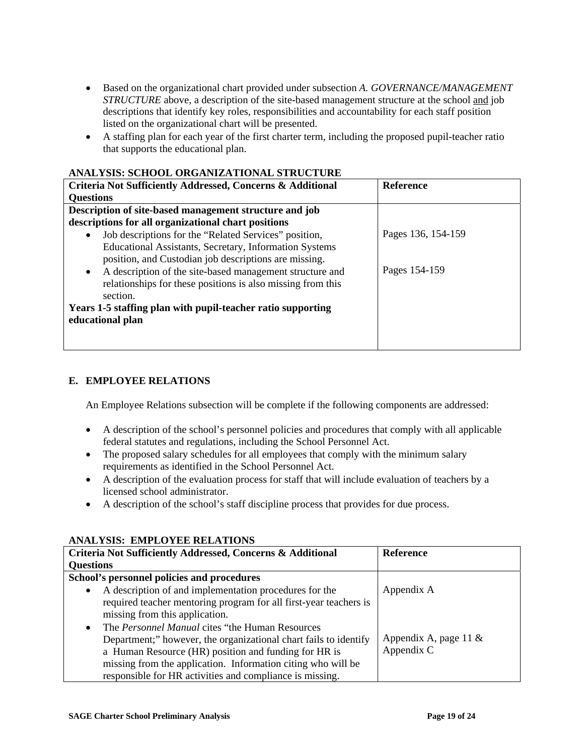- Based on the organizational chart provided under subsection *A. GOVERNANCE/MANAGEMENT STRUCTURE* above, a description of the site-based management structure at the school and job descriptions that identify key roles, responsibilities and accountability for each staff position listed on the organizational chart will be presented.
- A staffing plan for each year of the first charter term, including the proposed pupil-teacher ratio that supports the educational plan.

## **ANALYSIS: SCHOOL ORGANIZATIONAL STRUCTURE**

| Criteria Not Sufficiently Addressed, Concerns & Additional            | <b>Reference</b>   |
|-----------------------------------------------------------------------|--------------------|
| <b>Questions</b>                                                      |                    |
| Description of site-based management structure and job                |                    |
| descriptions for all organizational chart positions                   |                    |
| Job descriptions for the "Related Services" position,<br>$\bullet$    | Pages 136, 154-159 |
| Educational Assistants, Secretary, Information Systems                |                    |
| position, and Custodian job descriptions are missing.                 |                    |
| A description of the site-based management structure and<br>$\bullet$ | Pages 154-159      |
| relationships for these positions is also missing from this           |                    |
| section.                                                              |                    |
| Years 1-5 staffing plan with pupil-teacher ratio supporting           |                    |
| educational plan                                                      |                    |
|                                                                       |                    |
|                                                                       |                    |

## **E. EMPLOYEE RELATIONS**

An Employee Relations subsection will be complete if the following components are addressed:

- A description of the school's personnel policies and procedures that comply with all applicable federal statutes and regulations, including the School Personnel Act.
- The proposed salary schedules for all employees that comply with the minimum salary requirements as identified in the School Personnel Act.
- A description of the evaluation process for staff that will include evaluation of teachers by a licensed school administrator.
- A description of the school's staff discipline process that provides for due process.

#### **ANALYSIS: EMPLOYEE RELATIONS**

| Criteria Not Sufficiently Addressed, Concerns & Additional          | <b>Reference</b>         |
|---------------------------------------------------------------------|--------------------------|
| <b>Questions</b>                                                    |                          |
| School's personnel policies and procedures                          |                          |
| A description of and implementation procedures for the<br>$\bullet$ | Appendix A               |
| required teacher mentoring program for all first-year teachers is   |                          |
| missing from this application.                                      |                          |
| The Personnel Manual cites "the Human Resources"<br>$\bullet$       |                          |
| Department;" however, the organizational chart fails to identify    | Appendix A, page 11 $\&$ |
| a Human Resource (HR) position and funding for HR is                | Appendix C               |
| missing from the application. Information citing who will be        |                          |
| responsible for HR activities and compliance is missing.            |                          |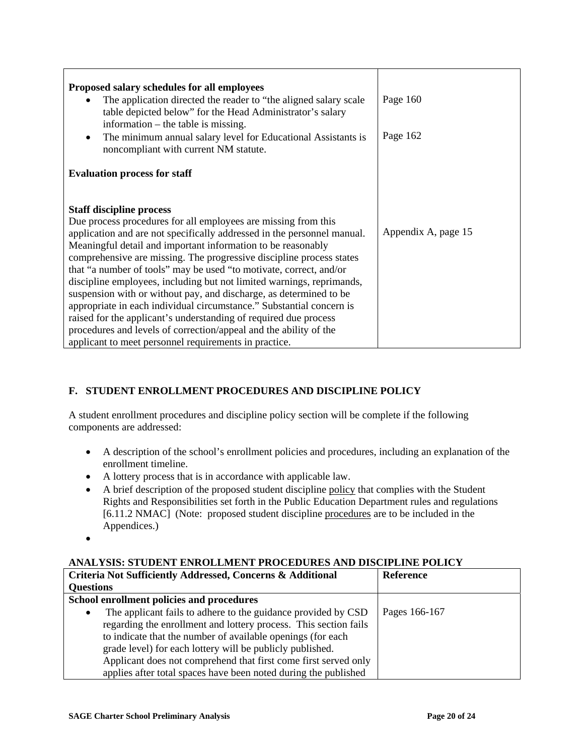| Proposed salary schedules for all employees<br>The application directed the reader to "the aligned salary scale"<br>table depicted below" for the Head Administrator's salary<br>information $-$ the table is missing.<br>The minimum annual salary level for Educational Assistants is<br>$\bullet$<br>noncompliant with current NM statute. | Page 160<br>Page 162 |
|-----------------------------------------------------------------------------------------------------------------------------------------------------------------------------------------------------------------------------------------------------------------------------------------------------------------------------------------------|----------------------|
|                                                                                                                                                                                                                                                                                                                                               |                      |
| <b>Evaluation process for staff</b>                                                                                                                                                                                                                                                                                                           |                      |
|                                                                                                                                                                                                                                                                                                                                               |                      |
| <b>Staff discipline process</b>                                                                                                                                                                                                                                                                                                               |                      |
| Due process procedures for all employees are missing from this                                                                                                                                                                                                                                                                                |                      |
| application and are not specifically addressed in the personnel manual.                                                                                                                                                                                                                                                                       | Appendix A, page 15  |
| Meaningful detail and important information to be reasonably                                                                                                                                                                                                                                                                                  |                      |
| comprehensive are missing. The progressive discipline process states                                                                                                                                                                                                                                                                          |                      |
| that "a number of tools" may be used "to motivate, correct, and/or                                                                                                                                                                                                                                                                            |                      |
| discipline employees, including but not limited warnings, reprimands,                                                                                                                                                                                                                                                                         |                      |
| suspension with or without pay, and discharge, as determined to be                                                                                                                                                                                                                                                                            |                      |
| appropriate in each individual circumstance." Substantial concern is                                                                                                                                                                                                                                                                          |                      |
| raised for the applicant's understanding of required due process                                                                                                                                                                                                                                                                              |                      |
| procedures and levels of correction/appeal and the ability of the                                                                                                                                                                                                                                                                             |                      |
| applicant to meet personnel requirements in practice.                                                                                                                                                                                                                                                                                         |                      |

# **F. STUDENT ENROLLMENT PROCEDURES AND DISCIPLINE POLICY**

A student enrollment procedures and discipline policy section will be complete if the following components are addressed:

- A description of the school's enrollment policies and procedures, including an explanation of the enrollment timeline.
- A lottery process that is in accordance with applicable law.
- A brief description of the proposed student discipline policy that complies with the Student Rights and Responsibilities set forth in the Public Education Department rules and regulations [6.11.2 NMAC] (Note: proposed student discipline procedures are to be included in the Appendices.)
- •

# **ANALYSIS: STUDENT ENROLLMENT PROCEDURES AND DISCIPLINE POLICY**

| Criteria Not Sufficiently Addressed, Concerns & Additional       | <b>Reference</b> |
|------------------------------------------------------------------|------------------|
| <b>Questions</b>                                                 |                  |
| School enrollment policies and procedures                        |                  |
| The applicant fails to adhere to the guidance provided by CSD    | Pages 166-167    |
| regarding the enrollment and lottery process. This section fails |                  |
| to indicate that the number of available openings (for each      |                  |
| grade level) for each lottery will be publicly published.        |                  |
| Applicant does not comprehend that first come first served only  |                  |
| applies after total spaces have been noted during the published  |                  |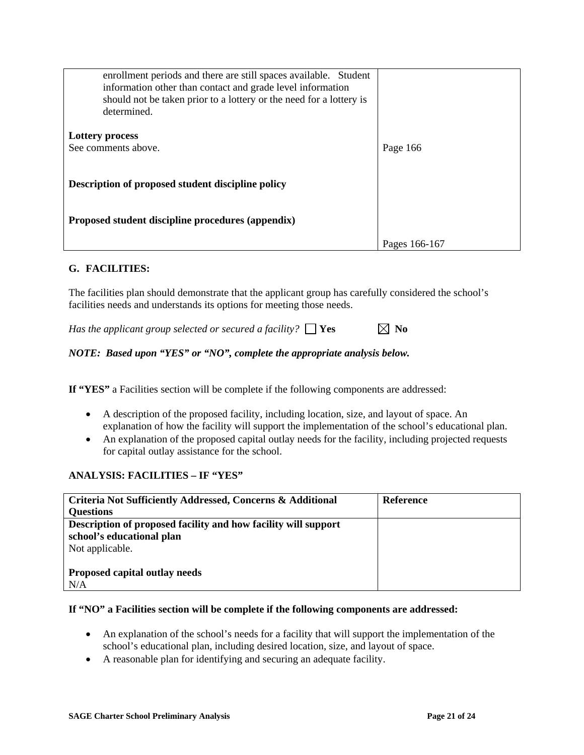| enrollment periods and there are still spaces available. Student<br>information other than contact and grade level information<br>should not be taken prior to a lottery or the need for a lottery is<br>determined. |               |
|----------------------------------------------------------------------------------------------------------------------------------------------------------------------------------------------------------------------|---------------|
| <b>Lottery process</b><br>See comments above.                                                                                                                                                                        | Page 166      |
| Description of proposed student discipline policy                                                                                                                                                                    |               |
| Proposed student discipline procedures (appendix)                                                                                                                                                                    |               |
|                                                                                                                                                                                                                      | Pages 166-167 |

## **G. FACILITIES:**

The facilities plan should demonstrate that the applicant group has carefully considered the school's facilities needs and understands its options for meeting those needs.

*Has the applicant group selected or secured a facility?*  $\Box$  **Yes**  $\Box$  **No** 

## *NOTE: Based upon "YES" or "NO", complete the appropriate analysis below.*

**If "YES"** a Facilities section will be complete if the following components are addressed:

- A description of the proposed facility, including location, size, and layout of space. An explanation of how the facility will support the implementation of the school's educational plan.
- An explanation of the proposed capital outlay needs for the facility, including projected requests for capital outlay assistance for the school.

## **ANALYSIS: FACILITIES – IF "YES"**

| Criteria Not Sufficiently Addressed, Concerns & Additional     | <b>Reference</b> |
|----------------------------------------------------------------|------------------|
| <b>Questions</b>                                               |                  |
| Description of proposed facility and how facility will support |                  |
| school's educational plan                                      |                  |
| Not applicable.                                                |                  |
|                                                                |                  |
| Proposed capital outlay needs                                  |                  |
| N/A                                                            |                  |

#### **If "NO" a Facilities section will be complete if the following components are addressed:**

- An explanation of the school's needs for a facility that will support the implementation of the school's educational plan, including desired location, size, and layout of space.
- A reasonable plan for identifying and securing an adequate facility.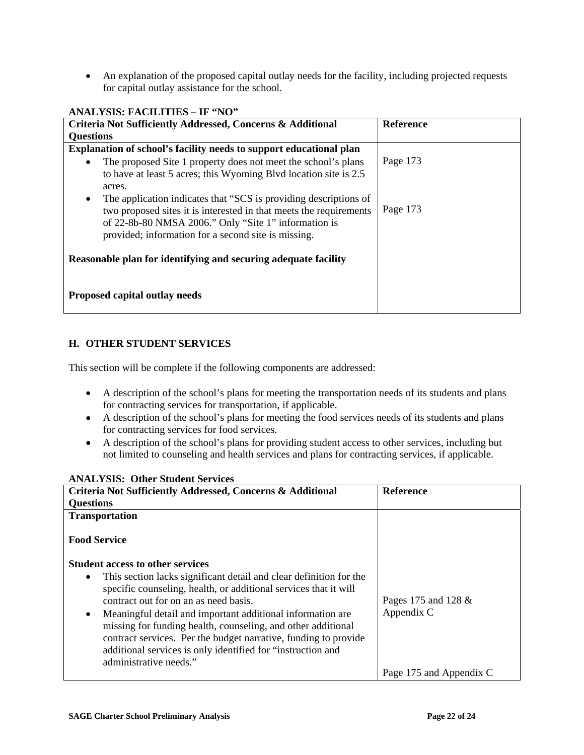• An explanation of the proposed capital outlay needs for the facility, including projected requests for capital outlay assistance for the school.

| <b>ANALYSIS: FACILITIES - IF "NO"</b>                                                                                                                                                                                                                      |           |  |
|------------------------------------------------------------------------------------------------------------------------------------------------------------------------------------------------------------------------------------------------------------|-----------|--|
| Criteria Not Sufficiently Addressed, Concerns & Additional                                                                                                                                                                                                 | Reference |  |
| <b>Questions</b>                                                                                                                                                                                                                                           |           |  |
| <b>Explanation of school's facility needs to support educational plan</b>                                                                                                                                                                                  |           |  |
| The proposed Site 1 property does not meet the school's plans<br>to have at least 5 acres; this Wyoming Blvd location site is 2.5<br>acres.                                                                                                                | Page 173  |  |
| The application indicates that "SCS is providing descriptions of<br>٠<br>two proposed sites it is interested in that meets the requirements<br>of 22-8b-80 NMSA 2006." Only "Site 1" information is<br>provided; information for a second site is missing. | Page 173  |  |
| Reasonable plan for identifying and securing adequate facility                                                                                                                                                                                             |           |  |
| Proposed capital outlay needs                                                                                                                                                                                                                              |           |  |

# **H. OTHER STUDENT SERVICES**

This section will be complete if the following components are addressed:

- A description of the school's plans for meeting the transportation needs of its students and plans for contracting services for transportation, if applicable.
- A description of the school's plans for meeting the food services needs of its students and plans for contracting services for food services.
- A description of the school's plans for providing student access to other services, including but not limited to counseling and health services and plans for contracting services, if applicable.

| Criteria Not Sufficiently Addressed, Concerns & Additional<br><b>Questions</b>                                                                                                                                                                                                                                                                                                                                                                                                                                                 | <b>Reference</b>                  |
|--------------------------------------------------------------------------------------------------------------------------------------------------------------------------------------------------------------------------------------------------------------------------------------------------------------------------------------------------------------------------------------------------------------------------------------------------------------------------------------------------------------------------------|-----------------------------------|
| <b>Transportation</b>                                                                                                                                                                                                                                                                                                                                                                                                                                                                                                          |                                   |
| <b>Food Service</b>                                                                                                                                                                                                                                                                                                                                                                                                                                                                                                            |                                   |
| <b>Student access to other services</b><br>This section lacks significant detail and clear definition for the<br>٠<br>specific counseling, health, or additional services that it will<br>contract out for on an as need basis.<br>Meaningful detail and important additional information are<br>٠<br>missing for funding health, counseling, and other additional<br>contract services. Per the budget narrative, funding to provide<br>additional services is only identified for "instruction and<br>administrative needs." | Pages 175 and 128 &<br>Appendix C |
|                                                                                                                                                                                                                                                                                                                                                                                                                                                                                                                                | Page 175 and Appendix C           |

# **ANALYSIS: Other Student Services**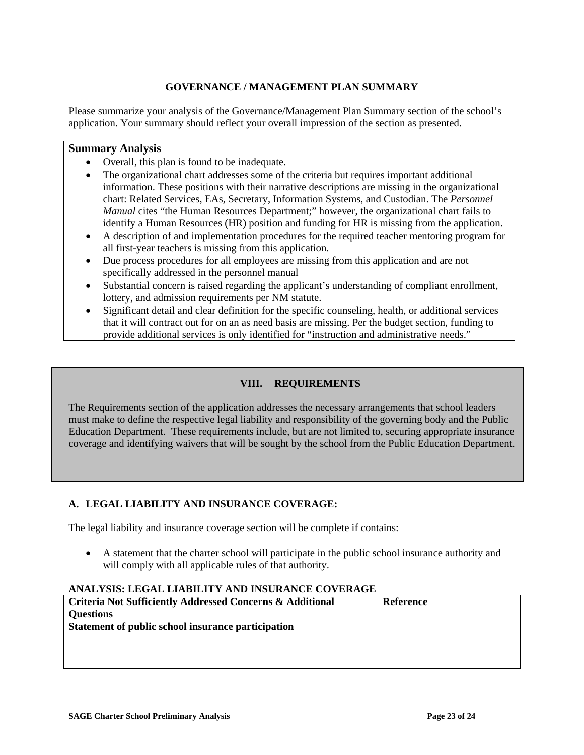# **GOVERNANCE / MANAGEMENT PLAN SUMMARY**

Please summarize your analysis of the Governance/Management Plan Summary section of the school's application. Your summary should reflect your overall impression of the section as presented.

| <b>Summary Analysis</b> |                                                                                                  |  |
|-------------------------|--------------------------------------------------------------------------------------------------|--|
|                         | • Overall, this plan is found to be inadequate.                                                  |  |
| $\bullet$               | The organizational chart addresses some of the criteria but requires important additional        |  |
|                         | information. These positions with their narrative descriptions are missing in the organizational |  |
|                         | chart: Related Services, EAs, Secretary, Information Systems, and Custodian. The Personnel       |  |
|                         | <i>Manual</i> cites "the Human Resources Department;" however, the organizational chart fails to |  |
|                         | identify a Human Resources (HR) position and funding for HR is missing from the application.     |  |
| $\bullet$               | A description of and implementation procedures for the required teacher mentoring program for    |  |
|                         | all first-year teachers is missing from this application.                                        |  |

- Due process procedures for all employees are missing from this application and are not specifically addressed in the personnel manual
- Substantial concern is raised regarding the applicant's understanding of compliant enrollment, lottery, and admission requirements per NM statute.
- Significant detail and clear definition for the specific counseling, health, or additional services that it will contract out for on an as need basis are missing. Per the budget section, funding to provide additional services is only identified for "instruction and administrative needs."

## **VIII. REQUIREMENTS**

The Requirements section of the application addresses the necessary arrangements that school leaders must make to define the respective legal liability and responsibility of the governing body and the Public Education Department. These requirements include, but are not limited to, securing appropriate insurance coverage and identifying waivers that will be sought by the school from the Public Education Department.

## **A. LEGAL LIABILITY AND INSURANCE COVERAGE:**

The legal liability and insurance coverage section will be complete if contains:

• A statement that the charter school will participate in the public school insurance authority and will comply with all applicable rules of that authority.

#### **ANALYSIS: LEGAL LIABILITY AND INSURANCE COVERAGE**

| Criteria Not Sufficiently Addressed Concerns & Additional | Reference |
|-----------------------------------------------------------|-----------|
| <b>Questions</b>                                          |           |
| Statement of public school insurance participation        |           |
|                                                           |           |
|                                                           |           |
|                                                           |           |